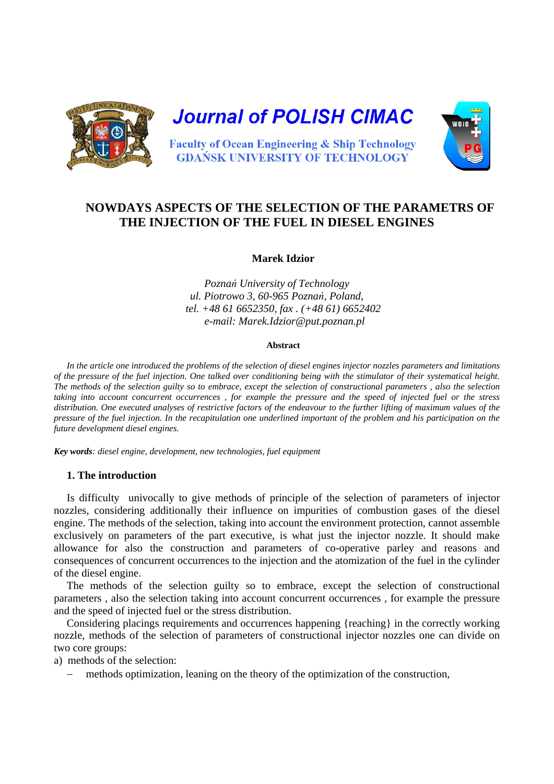

# **Journal of POLISH CIMAC**



**Faculty of Ocean Engineering & Ship Technology GDAŃSK UNIVERSITY OF TECHNOLOGY** 

## **NOWDAYS ASPECTS OF THE SELECTION OF THE PARAMETRS OF THE INJECTION OF THE FUEL IN DIESEL ENGINES**

**Marek Idzior** 

*Poznań University of Technology ul. Piotrowo 3, 60-965 Poznań, Poland, tel. +48 61 6652350, fax . (+48 61) 6652402 e-mail: Marek.Idzior@put.poznan.pl* 

#### **Abstract**

*In the article one introduced the problems of the selection of diesel engines injector nozzles parameters and limitations of the pressure of the fuel injection. One talked over conditioning being with the stimulator of their systematical height. The methods of the selection guilty so to embrace, except the selection of constructional parameters , also the selection taking into account concurrent occurrences , for example the pressure and the speed of injected fuel or the stress distribution. One executed analyses of restrictive factors of the endeavour to the further lifting of maximum values of the pressure of the fuel injection. In the recapitulation one underlined important of the problem and his participation on the future development diesel engines.* 

*Key words: diesel engine, development, new technologies, fuel equipment* 

#### **1. The introduction**

Is difficulty univocally to give methods of principle of the selection of parameters of injector nozzles, considering additionally their influence on impurities of combustion gases of the diesel engine. The methods of the selection, taking into account the environment protection, cannot assemble exclusively on parameters of the part executive, is what just the injector nozzle. It should make allowance for also the construction and parameters of co-operative parley and reasons and consequences of concurrent occurrences to the injection and the atomization of the fuel in the cylinder of the diesel engine.

The methods of the selection guilty so to embrace, except the selection of constructional parameters , also the selection taking into account concurrent occurrences , for example the pressure and the speed of injected fuel or the stress distribution.

Considering placings requirements and occurrences happening {reaching} in the correctly working nozzle, methods of the selection of parameters of constructional injector nozzles one can divide on two core groups:

a) methods of the selection:

methods optimization, leaning on the theory of the optimization of the construction,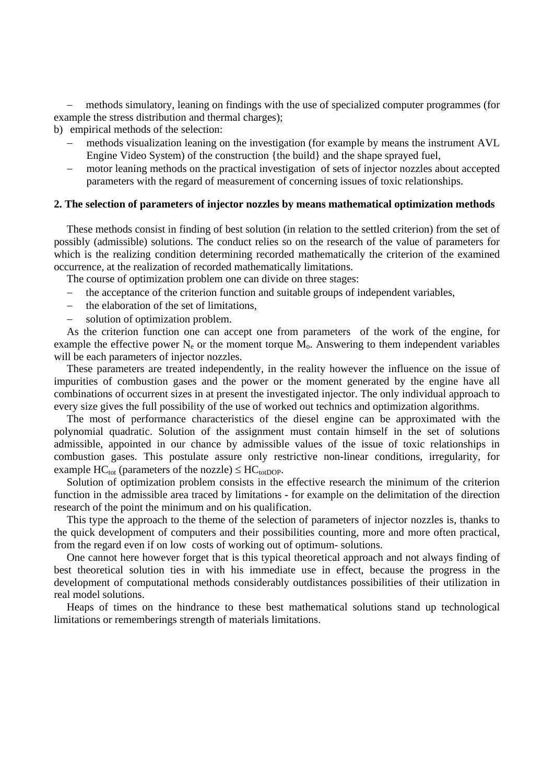methods simulatory, leaning on findings with the use of specialized computer programmes (for example the stress distribution and thermal charges);

b) empirical methods of the selection:

- methods visualization leaning on the investigation (for example by means the instrument AVL Engine Video System) of the construction {the build} and the shape sprayed fuel,
- motor leaning methods on the practical investigation of sets of injector nozzles about accepted parameters with the regard of measurement of concerning issues of toxic relationships.

#### **2. The selection of parameters of injector nozzles by means mathematical optimization methods**

These methods consist in finding of best solution (in relation to the settled criterion) from the set of possibly (admissible) solutions. The conduct relies so on the research of the value of parameters for which is the realizing condition determining recorded mathematically the criterion of the examined occurrence, at the realization of recorded mathematically limitations.

The course of optimization problem one can divide on three stages:

- the acceptance of the criterion function and suitable groups of independent variables,
- $\theta$  the elaboration of the set of limitations,
- solution of optimization problem.

As the criterion function one can accept one from parameters of the work of the engine, for example the effective power  $N_e$  or the moment torque  $M_o$ . Answering to them independent variables will be each parameters of injector nozzles.

These parameters are treated independently, in the reality however the influence on the issue of impurities of combustion gases and the power or the moment generated by the engine have all combinations of occurrent sizes in at present the investigated injector. The only individual approach to every size gives the full possibility of the use of worked out technics and optimization algorithms.

The most of performance characteristics of the diesel engine can be approximated with the polynomial quadratic. Solution of the assignment must contain himself in the set of solutions admissible, appointed in our chance by admissible values of the issue of toxic relationships in combustion gases. This postulate assure only restrictive non-linear conditions, irregularity, for example  $HC_{tot}$  (parameters of the nozzle)  $\leq$  HC<sub>totDOP</sub>.

Solution of optimization problem consists in the effective research the minimum of the criterion function in the admissible area traced by limitations - for example on the delimitation of the direction research of the point the minimum and on his qualification.

This type the approach to the theme of the selection of parameters of injector nozzles is, thanks to the quick development of computers and their possibilities counting, more and more often practical, from the regard even if on low costs of working out of optimum- solutions.

One cannot here however forget that is this typical theoretical approach and not always finding of best theoretical solution ties in with his immediate use in effect, because the progress in the development of computational methods considerably outdistances possibilities of their utilization in real model solutions.

Heaps of times on the hindrance to these best mathematical solutions stand up technological limitations or rememberings strength of materials limitations.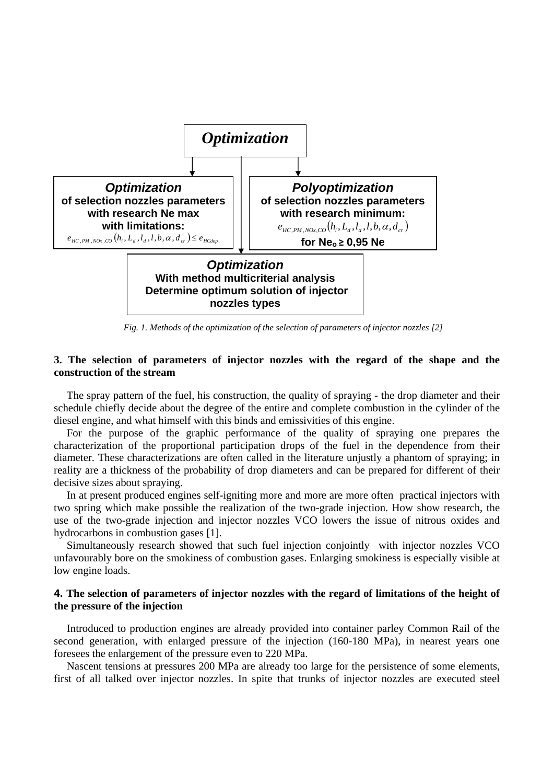

*Fig. 1. Methods of the optimization of the selection of parameters of injector nozzles [2]* 

#### **3. The selection of parameters of injector nozzles with the regard of the shape and the construction of the stream**

The spray pattern of the fuel, his construction, the quality of spraying - the drop diameter and their schedule chiefly decide about the degree of the entire and complete combustion in the cylinder of the diesel engine, and what himself with this binds and emissivities of this engine.

For the purpose of the graphic performance of the quality of spraying one prepares the characterization of the proportional participation drops of the fuel in the dependence from their diameter. These characterizations are often called in the literature unjustly a phantom of spraying; in reality are a thickness of the probability of drop diameters and can be prepared for different of their decisive sizes about spraying.

In at present produced engines self-igniting more and more are more often practical injectors with two spring which make possible the realization of the two-grade injection. How show research, the use of the two-grade injection and injector nozzles VCO lowers the issue of nitrous oxides and hydrocarbons in combustion gases [1].

Simultaneously research showed that such fuel injection conjointly with injector nozzles VCO unfavourably bore on the smokiness of combustion gases. Enlarging smokiness is especially visible at low engine loads.

### **4. The selection of parameters of injector nozzles with the regard of limitations of the height of the pressure of the injection**

Introduced to production engines are already provided into container parley Common Rail of the second generation, with enlarged pressure of the injection (160-180 MPa), in nearest years one foresees the enlargement of the pressure even to 220 MPa.

Nascent tensions at pressures 200 MPa are already too large for the persistence of some elements, first of all talked over injector nozzles. In spite that trunks of injector nozzles are executed steel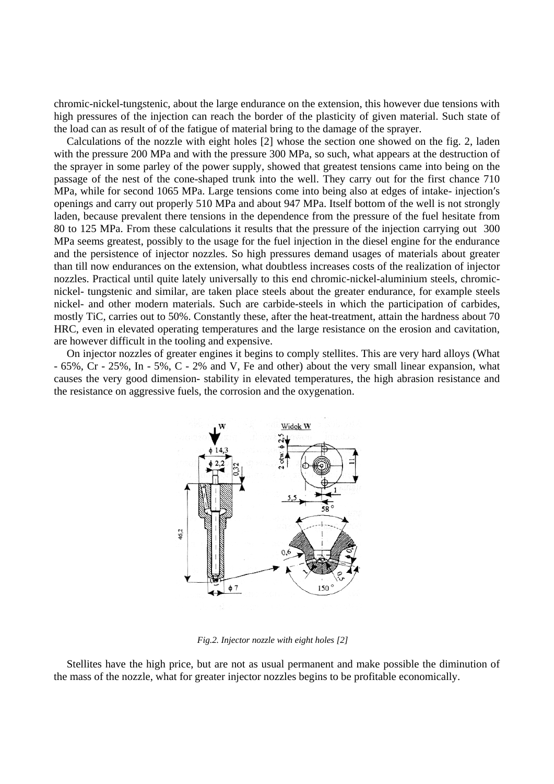chromic-nickel-tungstenic, about the large endurance on the extension, this however due tensions with high pressures of the injection can reach the border of the plasticity of given material. Such state of the load can as result of of the fatigue of material bring to the damage of the sprayer.

Calculations of the nozzle with eight holes [2] whose the section one showed on the fig. 2, laden with the pressure 200 MPa and with the pressure 300 MPa, so such, what appears at the destruction of the sprayer in some parley of the power supply, showed that greatest tensions came into being on the passage of the nest of the cone-shaped trunk into the well. They carry out for the first chance 710 MPa, while for second 1065 MPa. Large tensions come into being also at edges of intake- injection′s openings and carry out properly 510 MPa and about 947 MPa. Itself bottom of the well is not strongly laden, because prevalent there tensions in the dependence from the pressure of the fuel hesitate from 80 to 125 MPa. From these calculations it results that the pressure of the injection carrying out 300 MPa seems greatest, possibly to the usage for the fuel injection in the diesel engine for the endurance and the persistence of injector nozzles. So high pressures demand usages of materials about greater than till now endurances on the extension, what doubtless increases costs of the realization of injector nozzles. Practical until quite lately universally to this end chromic-nickel-aluminium steels, chromicnickel- tungstenic and similar, are taken place steels about the greater endurance, for example steels nickel- and other modern materials. Such are carbide-steels in which the participation of carbides, mostly TiC, carries out to 50%. Constantly these, after the heat-treatment, attain the hardness about 70 HRC, even in elevated operating temperatures and the large resistance on the erosion and cavitation, are however difficult in the tooling and expensive.

On injector nozzles of greater engines it begins to comply stellites. This are very hard alloys (What - 65%, Cr - 25%, In - 5%, C - 2% and V, Fe and other) about the very small linear expansion, what causes the very good dimension- stability in elevated temperatures, the high abrasion resistance and the resistance on aggressive fuels, the corrosion and the oxygenation.



*Fig.2. Injector nozzle with eight holes [2]* 

Stellites have the high price, but are not as usual permanent and make possible the diminution of the mass of the nozzle, what for greater injector nozzles begins to be profitable economically.